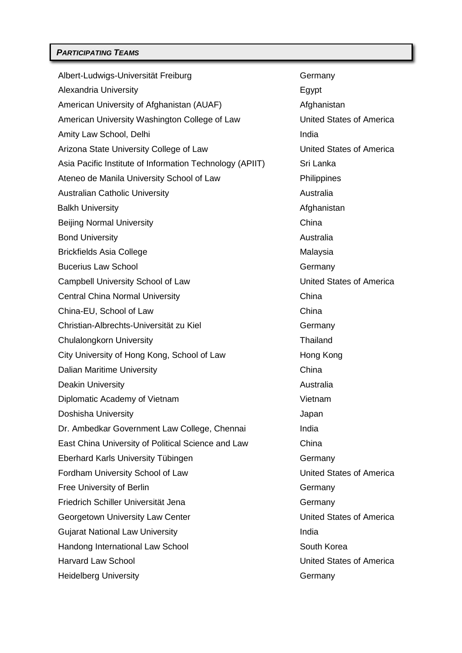Albert-Ludwigs-Universität Freiburg Germany Alexandria University **Egypt** Egypt American University of Afghanistan (AUAF) Manuscription and Afghanistan American University Washington College of Law **United States of America** Amity Law School, Delhi **India** Arizona State University College of Law United States of America Asia Pacific Institute of Information Technology (APIIT) Sri Lanka Ateneo de Manila University School of Law Philippines Australian Catholic University **Australia** Australia Balkh University **Afghanistan** Beijing Normal University **China** China Bond University **Australia** Brickfields Asia College Malaysia Bucerius Law School **Germany** Campbell University School of Law United States of America Central China Normal University China China China-EU, School of Law China Christian-Albrechts-Universität zu Kiel Germany Chulalongkorn University **Thailand** City University of Hong Kong, School of Law Hong Kong Dalian Maritime University China Deakin University **Australia** Diplomatic Academy of Vietnam Vietnam Vietnam Doshisha University **Japan** Dr. Ambedkar Government Law College, Chennai India East China University of Political Science and Law China Eberhard Karls University Tübingen Germany Fordham University School of Law United States of America Free University of Berlin Germany Friedrich Schiller Universität Jena Germany Georgetown University Law Center **Exercise 20 Yunited States of America** Gujarat National Law University **India** India Handong International Law School South Korea Harvard Law School United States of America Heidelberg University **Germany** Germany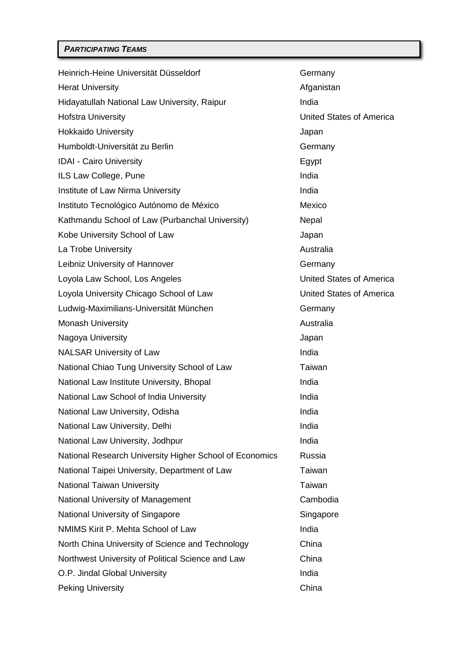| Heinrich-Heine Universität Düsseldorf                   | Germany                         |
|---------------------------------------------------------|---------------------------------|
| <b>Herat University</b>                                 | Afganistan                      |
| Hidayatullah National Law University, Raipur            | India                           |
| <b>Hofstra University</b>                               | <b>United States of America</b> |
| <b>Hokkaido University</b>                              | Japan                           |
| Humboldt-Universität zu Berlin                          | Germany                         |
| <b>IDAI - Cairo University</b>                          | Egypt                           |
| ILS Law College, Pune                                   | India                           |
| Institute of Law Nirma University                       | India                           |
| Instituto Tecnológico Autónomo de México                | Mexico                          |
| Kathmandu School of Law (Purbanchal University)         | Nepal                           |
| Kobe University School of Law                           | Japan                           |
| La Trobe University                                     | Australia                       |
| Leibniz University of Hannover                          | Germany                         |
| Loyola Law School, Los Angeles                          | <b>United States of America</b> |
| Loyola University Chicago School of Law                 | <b>United States of America</b> |
| Ludwig-Maximilians-Universität München                  | Germany                         |
| <b>Monash University</b>                                | Australia                       |
| Nagoya University                                       | Japan                           |
| <b>NALSAR University of Law</b>                         | India                           |
| National Chiao Tung University School of Law            | Taiwan                          |
| National Law Institute University, Bhopal               | India                           |
| National Law School of India University                 | India                           |
| National Law University, Odisha                         | India                           |
| National Law University, Delhi                          | India                           |
| National Law University, Jodhpur                        | India                           |
| National Research University Higher School of Economics | Russia                          |
| National Taipei University, Department of Law           | Taiwan                          |
| <b>National Taiwan University</b>                       | Taiwan                          |
| National University of Management                       | Cambodia                        |
| National University of Singapore                        | Singapore                       |
| NMIMS Kirit P. Mehta School of Law                      | India                           |
| North China University of Science and Technology        | China                           |
| Northwest University of Political Science and Law       | China                           |
| O.P. Jindal Global University                           | India                           |
| <b>Peking University</b>                                | China                           |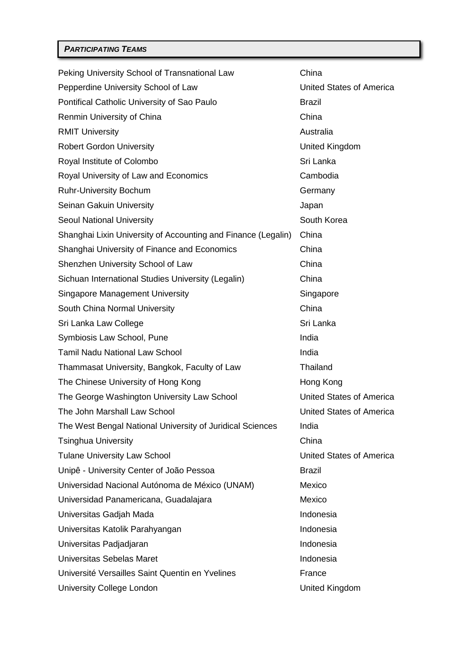| Peking University School of Transnational Law                 | China                           |
|---------------------------------------------------------------|---------------------------------|
| Pepperdine University School of Law                           | United States of America        |
| Pontifical Catholic University of Sao Paulo                   | <b>Brazil</b>                   |
| Renmin University of China                                    | China                           |
| <b>RMIT University</b>                                        | Australia                       |
| <b>Robert Gordon University</b>                               | <b>United Kingdom</b>           |
| Royal Institute of Colombo                                    | Sri Lanka                       |
| Royal University of Law and Economics                         | Cambodia                        |
| <b>Ruhr-University Bochum</b>                                 | Germany                         |
| Seinan Gakuin University                                      | Japan                           |
| <b>Seoul National University</b>                              | South Korea                     |
| Shanghai Lixin University of Accounting and Finance (Legalin) | China                           |
| Shanghai University of Finance and Economics                  | China                           |
| Shenzhen University School of Law                             | China                           |
| Sichuan International Studies University (Legalin)            | China                           |
| Singapore Management University                               | Singapore                       |
| South China Normal University                                 | China                           |
| Sri Lanka Law College                                         | Sri Lanka                       |
| Symbiosis Law School, Pune                                    | India                           |
| Tamil Nadu National Law School                                | India                           |
| Thammasat University, Bangkok, Faculty of Law                 | Thailand                        |
| The Chinese University of Hong Kong                           | Hong Kong                       |
| The George Washington University Law School                   | <b>United States of America</b> |
| The John Marshall Law School                                  | United States of America        |
| The West Bengal National University of Juridical Sciences     | India                           |
| Tsinghua University                                           | China                           |
| <b>Tulane University Law School</b>                           | United States of America        |
| Unipê - University Center of João Pessoa                      | <b>Brazil</b>                   |
| Universidad Nacional Autónoma de México (UNAM)                | Mexico                          |
| Universidad Panamericana, Guadalajara                         | Mexico                          |
| Universitas Gadjah Mada                                       | Indonesia                       |
| Universitas Katolik Parahyangan                               | Indonesia                       |
| Universitas Padjadjaran                                       | Indonesia                       |
| Universitas Sebelas Maret                                     | Indonesia                       |
| Université Versailles Saint Quentin en Yvelines               | France                          |
| University College London                                     | <b>United Kingdom</b>           |